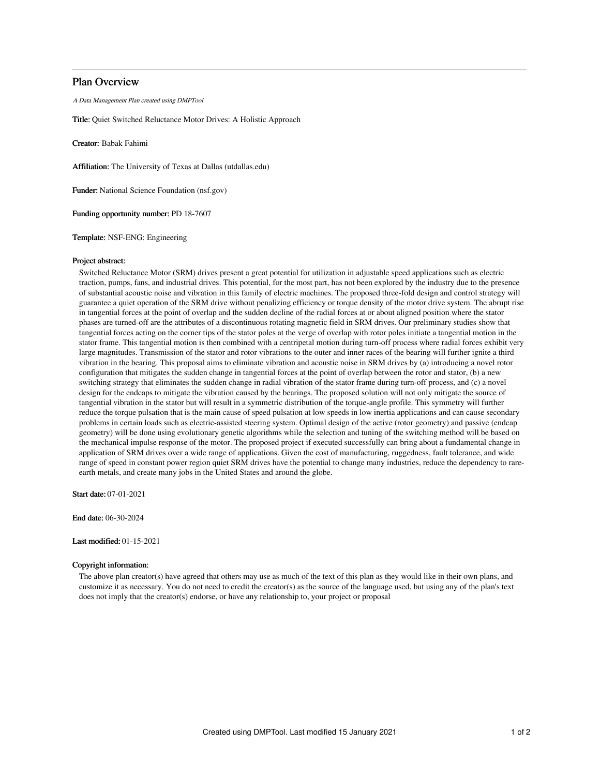# Plan Overview

A Data Management Plan created using DMPTool

Title: Quiet Switched Reluctance Motor Drives: A Holistic Approach

Creator: Babak Fahimi

Affiliation: The University of Texas at Dallas (utdallas.edu)

Funder: National Science Foundation (nsf.gov)

Funding opportunity number: PD 18-7607

Template: NSF-ENG: Engineering

#### Project abstract:

Switched Reluctance Motor (SRM) drives present a great potential for utilization in adjustable speed applications such as electric traction, pumps, fans, and industrial drives. This potential, for the most part, has not been explored by the industry due to the presence of substantial acoustic noise and vibration in this family of electric machines. The proposed three-fold design and control strategy will guarantee a quiet operation of the SRM drive without penalizing efficiency or torque density of the motor drive system. The abrupt rise in tangential forces at the point of overlap and the sudden decline of the radial forces at or about aligned position where the stator phases are turned-off are the attributes of a discontinuous rotating magnetic field in SRM drives. Our preliminary studies show that tangential forces acting on the corner tips of the stator poles at the verge of overlap with rotor poles initiate a tangential motion in the stator frame. This tangential motion is then combined with a centripetal motion during turn-off process where radial forces exhibit very large magnitudes. Transmission of the stator and rotor vibrations to the outer and inner races of the bearing will further ignite a third vibration in the bearing. This proposal aims to eliminate vibration and acoustic noise in SRM drives by (a) introducing a novel rotor configuration that mitigates the sudden change in tangential forces at the point of overlap between the rotor and stator, (b) a new switching strategy that eliminates the sudden change in radial vibration of the stator frame during turn-off process, and (c) a novel design for the endcaps to mitigate the vibration caused by the bearings. The proposed solution will not only mitigate the source of tangential vibration in the stator but will result in a symmetric distribution of the torque-angle profile. This symmetry will further reduce the torque pulsation that is the main cause of speed pulsation at low speeds in low inertia applications and can cause secondary problems in certain loads such as electric-assisted steering system. Optimal design of the active (rotor geometry) and passive (endcap geometry) will be done using evolutionary genetic algorithms while the selection and tuning of the switching method will be based on the mechanical impulse response of the motor. The proposed project if executed successfully can bring about a fundamental change in application of SRM drives over a wide range of applications. Given the cost of manufacturing, ruggedness, fault tolerance, and wide range of speed in constant power region quiet SRM drives have the potential to change many industries, reduce the dependency to rareearth metals, and create many jobs in the United States and around the globe.

Start date: 07-01-2021

End date: 06-30-2024

## Last modified: 01-15-2021

# Copyright information:

The above plan creator(s) have agreed that others may use as much of the text of this plan as they would like in their own plans, and customize it as necessary. You do not need to credit the creator(s) as the source of the language used, but using any of the plan's text does not imply that the creator(s) endorse, or have any relationship to, your project or proposal